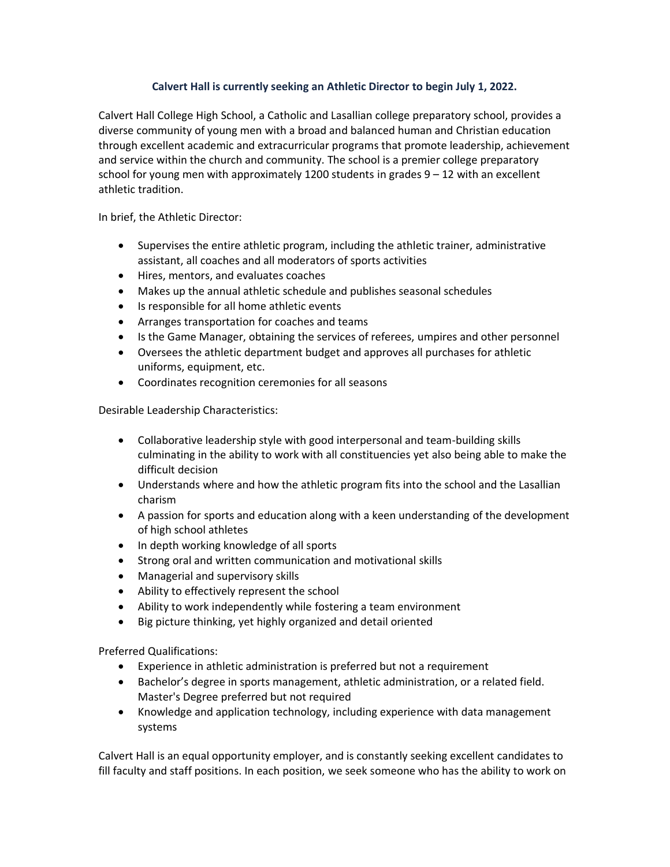## **Calvert Hall is currently seeking an Athletic Director to begin July 1, 2022.**

Calvert Hall College High School, a Catholic and Lasallian college preparatory school, provides a diverse community of young men with a broad and balanced human and Christian education through excellent academic and extracurricular programs that promote leadership, achievement and service within the church and community. The school is a premier college preparatory school for young men with approximately 1200 students in grades  $9 - 12$  with an excellent athletic tradition.

In brief, the Athletic Director:

- Supervises the entire athletic program, including the athletic trainer, administrative assistant, all coaches and all moderators of sports activities
- Hires, mentors, and evaluates coaches
- Makes up the annual athletic schedule and publishes seasonal schedules
- Is responsible for all home athletic events
- Arranges transportation for coaches and teams
- Is the Game Manager, obtaining the services of referees, umpires and other personnel
- Oversees the athletic department budget and approves all purchases for athletic uniforms, equipment, etc.
- Coordinates recognition ceremonies for all seasons

Desirable Leadership Characteristics:

- Collaborative leadership style with good interpersonal and team-building skills culminating in the ability to work with all constituencies yet also being able to make the difficult decision
- Understands where and how the athletic program fits into the school and the Lasallian charism
- A passion for sports and education along with a keen understanding of the development of high school athletes
- In depth working knowledge of all sports
- Strong oral and written communication and motivational skills
- Managerial and supervisory skills
- Ability to effectively represent the school
- Ability to work independently while fostering a team environment
- Big picture thinking, yet highly organized and detail oriented

Preferred Qualifications:

- Experience in athletic administration is preferred but not a requirement
- Bachelor's degree in sports management, athletic administration, or a related field. Master's Degree preferred but not required
- Knowledge and application technology, including experience with data management systems

Calvert Hall is an equal opportunity employer, and is constantly seeking excellent candidates to fill faculty and staff positions. In each position, we seek someone who has the ability to work on